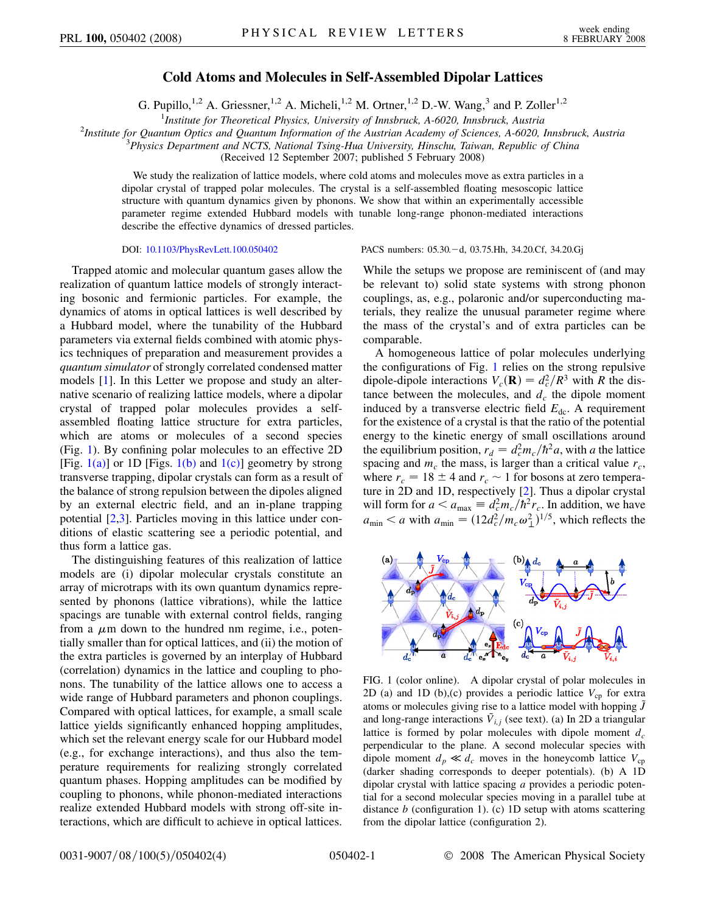## **Cold Atoms and Molecules in Self-Assembled Dipolar Lattices**

G. Pupillo,<sup>1,2</sup> A. Griessner,<sup>1,2</sup> A. Micheli,<sup>1,2</sup> M. Ortner,<sup>1,2</sup> D.-W. Wang,<sup>3</sup> and P. Zoller<sup>1,2</sup>

<sup>1</sup>*Institute for Theoretical Physics, University of Innsbruck, A-6020, Innsbruck, Austria*<br><sup>2</sup>*Institute for Quantum Ontics and Quantum Information of the Austrian Academy of Sciences, A 6020* 

*Institute for Quantum Optics and Quantum Information of the Austrian Academy of Sciences, A-6020, Innsbruck, Austria* <sup>3</sup>

*Physics Department and NCTS, National Tsing-Hua University, Hinschu, Taiwan, Republic of China*

(Received 12 September 2007; published 5 February 2008)

We study the realization of lattice models, where cold atoms and molecules move as extra particles in a dipolar crystal of trapped polar molecules. The crystal is a self-assembled floating mesoscopic lattice structure with quantum dynamics given by phonons. We show that within an experimentally accessible parameter regime extended Hubbard models with tunable long-range phonon-mediated interactions describe the effective dynamics of dressed particles.

Trapped atomic and molecular quantum gases allow the realization of quantum lattice models of strongly interacting bosonic and fermionic particles. For example, the dynamics of atoms in optical lattices is well described by a Hubbard model, where the tunability of the Hubbard parameters via external fields combined with atomic physics techniques of preparation and measurement provides a *quantum simulator* of strongly correlated condensed matter models [\[1\]](#page-3-0). In this Letter we propose and study an alternative scenario of realizing lattice models, where a dipolar crystal of trapped polar molecules provides a selfassembled floating lattice structure for extra particles, which are atoms or molecules of a second species (Fig. [1\)](#page-0-0). By confining polar molecules to an effective 2D [Fig.  $1(a)$ ] or 1D [Figs.  $1(b)$  and  $1(c)$ ] geometry by strong transverse trapping, dipolar crystals can form as a result of the balance of strong repulsion between the dipoles aligned by an external electric field, and an in-plane trapping potential [[2](#page-3-1)[,3\]](#page-3-2). Particles moving in this lattice under conditions of elastic scattering see a periodic potential, and thus form a lattice gas.

The distinguishing features of this realization of lattice models are (i) dipolar molecular crystals constitute an array of microtraps with its own quantum dynamics represented by phonons (lattice vibrations), while the lattice spacings are tunable with external control fields, ranging from a  $\mu$ m down to the hundred nm regime, i.e., potentially smaller than for optical lattices, and (ii) the motion of the extra particles is governed by an interplay of Hubbard (correlation) dynamics in the lattice and coupling to phonons. The tunability of the lattice allows one to access a wide range of Hubbard parameters and phonon couplings. Compared with optical lattices, for example, a small scale lattice yields significantly enhanced hopping amplitudes, which set the relevant energy scale for our Hubbard model (e.g., for exchange interactions), and thus also the temperature requirements for realizing strongly correlated quantum phases. Hopping amplitudes can be modified by coupling to phonons, while phonon-mediated interactions realize extended Hubbard models with strong off-site interactions, which are difficult to achieve in optical lattices.

DOI: [10.1103/PhysRevLett.100.050402](http://dx.doi.org/10.1103/PhysRevLett.100.050402) PACS numbers: 05.30. - d, 03.75.Hh, 34.20.Cf, 34.20.Gj

While the setups we propose are reminiscent of (and may be relevant to) solid state systems with strong phonon couplings, as, e.g., polaronic and/or superconducting materials, they realize the unusual parameter regime where the mass of the crystal's and of extra particles can be comparable.

A homogeneous lattice of polar molecules underlying the configurations of Fig. [1](#page-0-0) relies on the strong repulsive dipole-dipole interactions  $V_c(\mathbf{R}) = d_c^2/R^3$  with *R* the distance between the molecules, and  $d_c$  the dipole moment induced by a transverse electric field  $E_{dc}$ . A requirement for the existence of a crystal is that the ratio of the potential energy to the kinetic energy of small oscillations around the equilibrium position,  $r_d = d_c^2 m_c / \hbar^2 a$ , with *a* the lattice spacing and  $m_c$  the mass, is larger than a critical value  $r_c$ , where  $r_c = 18 \pm 4$  and  $r_c \sim 1$  for bosons at zero temperature in 2D and 1D, respectively [[2](#page-3-1)]. Thus a dipolar crystal will form for  $a < a_{\text{max}} \equiv d_c^2 m_c / \hbar^2 r_c$ . In addition, we have  $a_{\text{min}} < a$  with  $a_{\text{min}} = (12d_c^2/m_c\omega_{\perp}^2)^{1/5}$ , which reflects the

<span id="page-0-0"></span>

<span id="page-0-1"></span>FIG. 1 (color online). A dipolar crystal of polar molecules in 2D (a) and 1D (b),(c) provides a periodic lattice  $V_{cp}$  for extra atoms or molecules giving rise to a lattice model with hopping  $\tilde{J}$ and long-range interactions  $\tilde{V}_{i,j}$  (see text). (a) In 2D a triangular lattice is formed by polar molecules with dipole moment  $d_c$ perpendicular to the plane. A second molecular species with dipole moment  $d_p \ll d_c$  moves in the honeycomb lattice  $V_{cp}$ (darker shading corresponds to deeper potentials). (b) A 1D dipolar crystal with lattice spacing *a* provides a periodic potential for a second molecular species moving in a parallel tube at distance *b* (configuration 1). (c) 1D setup with atoms scattering from the dipolar lattice (configuration 2).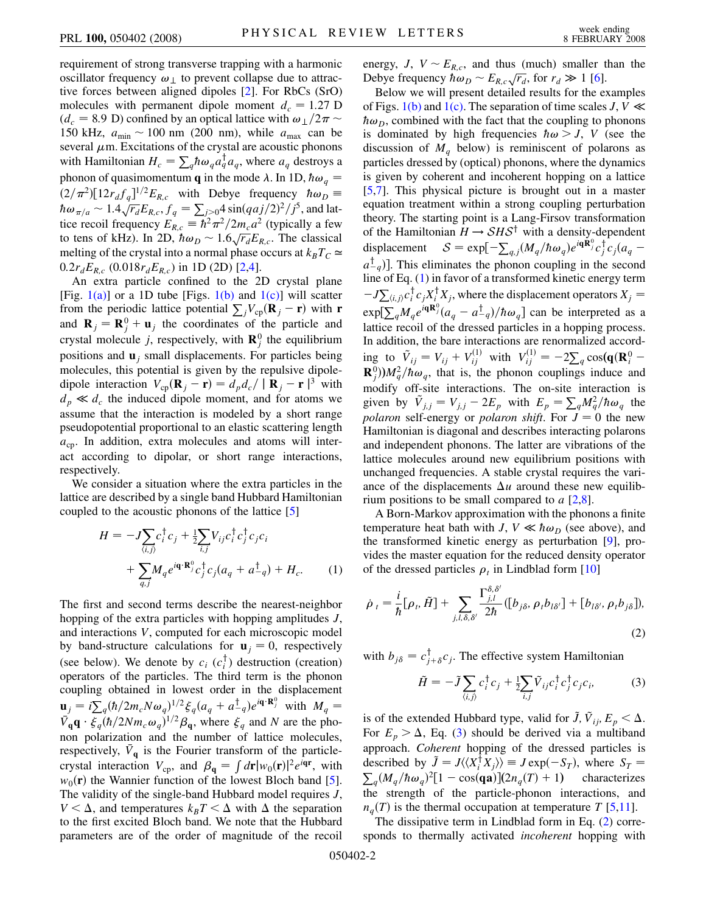requirement of strong transverse trapping with a harmonic oscillator frequency  $\omega_1$  to prevent collapse due to attractive forces between aligned dipoles [\[2\]](#page-3-1). For RbCs (SrO) molecules with permanent dipole moment  $d_c = 1.27$  D  $(d_c = 8.9 \text{ D})$  confined by an optical lattice with  $\omega_{\perp}/2\pi \sim$ 150 kHz,  $a_{\text{min}} \sim 100$  nm (200 nm), while  $a_{\text{max}}$  can be several  $\mu$ m. Excitations of the crystal are acoustic phonons with Hamiltonian  $H_c = \sum_q \hbar \omega_q a_q^\dagger a_q$ , where  $a_q$  destroys a phonon of quasimomentum **q** in the mode  $\lambda$ . In 1D,  $\hbar \omega_q$  =  $(2/\pi^2)[12r_d f_q]^{1/2}E_{R,c}$  with Debye frequency  $\hbar\omega_D =$  $\hbar \omega_{\pi/a} \sim 1.4 \sqrt{r_d} E_{R,c}$ ,  $f_q = \sum_{j>0}^{4} 4 \sin(qaj/2)^2 / j^5$ , and lattice recoil frequency  $E_{R,c} = \hbar^2 \pi^2 / 2 m_c a^2$  (typically a few to tens of kHz). In 2D,  $\hbar \omega_D \sim 1.6 \sqrt{r_d} E_{R,c}$ . The classical melting of the crystal into a normal phase occurs at  $k_B T_C \simeq$  $0.2r_dE_{R,c}$  (0.018 $r_dE_{R,c}$ ) in 1D (2D) [\[2](#page-3-1),[4](#page-3-3)].

An extra particle confined to the 2D crystal plane [Fig.  $1(a)$ ] or a 1D tube [Figs.  $1(b)$  and  $1(c)$ ] will scatter from the periodic lattice potential  $\sum_j V_{cp} (\mathbf{R}_j - \mathbf{r})$  with **r** and  $\mathbf{R}_j = \mathbf{R}_j^0 + \mathbf{u}_j$  the coordinates of the particle and crystal molecule *j*, respectively, with  $\mathbf{R}_j^0$  the equilibrium positions and **u***<sup>j</sup>* small displacements. For particles being molecules, this potential is given by the repulsive dipoledipole interaction  $V_{cp}(\mathbf{R}_j - \mathbf{r}) = d_p d_c / |\mathbf{R}_j - \mathbf{r}|^3$  with  $d_p \ll d_c$  the induced dipole moment, and for atoms we assume that the interaction is modeled by a short range pseudopotential proportional to an elastic scattering length  $a_{cp}$ . In addition, extra molecules and atoms will interact according to dipolar, or short range interactions, respectively.

<span id="page-1-0"></span>We consider a situation where the extra particles in the lattice are described by a single band Hubbard Hamiltonian coupled to the acoustic phonons of the lattice [\[5](#page-3-4)]

$$
H = -J \sum_{\langle i,j \rangle} c_i^{\dagger} c_j + \frac{1}{2} \sum_{i,j} V_{ij} c_i^{\dagger} c_j^{\dagger} c_j c_i + \sum_{q,j} M_q e^{i\mathbf{q} \cdot \mathbf{R}_j^0} c_j^{\dagger} c_j (a_q + a_{-q}^{\dagger}) + H_c.
$$
 (1)

The first and second terms describe the nearest-neighbor hopping of the extra particles with hopping amplitudes *J*, and interactions *V*, computed for each microscopic model by band-structure calculations for  $\mathbf{u}_i = 0$ , respectively (see below). We denote by  $c_i$  ( $c_i^{\dagger}$ ) destruction (creation) operators of the particles. The third term is the phonon coupling obtained in lowest order in the displacement  $\mathbf{u}_j = i \sum_{q}^{\infty} (h/2m_cN\omega_q)^{1/2} \xi_q(a_q + a_{-q}^{\dagger})e^{i\mathbf{q}\cdot\mathbf{R}_j^0}$  with  $M_q =$  $\bar{V}_{\bf q}$ **q** ·  $\xi_q(\hbar/2Nm_c\omega_q)^{1/2}\beta_{\bf q}$ , where  $\xi_q$  and *N* are the phonon polarization and the number of lattice molecules, respectively,  $\bar{V}_q$  is the Fourier transform of the particlecrystal interaction  $V_{cp}$ , and  $\beta_q = \int d\mathbf{r} |w_0(\mathbf{r})|^2 e^{i\mathbf{q}\mathbf{r}}$ , with  $w_0(\mathbf{r})$  the Wannier function of the lowest Bloch band [[5\]](#page-3-4). The validity of the single-band Hubbard model requires *J*,  $V < \Delta$ , and temperatures  $k_B T < \Delta$  with  $\Delta$  the separation to the first excited Bloch band. We note that the Hubbard parameters are of the order of magnitude of the recoil energy,  $J$ ,  $V \sim E_{R,c}$ , and thus (much) smaller than the Debye frequency  $\hbar \omega_D \sim E_{R,c} \sqrt{r_d}$ , for  $r_d \gg 1$  [[6\]](#page-3-5).

Below we will present detailed results for the examples of Figs. [1\(b\)](#page-0-1) and [1\(c\).](#page-0-1) The separation of time scales  $J, V \ll$  $\hbar \omega_D$ , combined with the fact that the coupling to phonons is dominated by high frequencies  $\hbar \omega > J$ , *V* (see the discussion of  $M_q$  below) is reminiscent of polarons as particles dressed by (optical) phonons, where the dynamics is given by coherent and incoherent hopping on a lattice [\[5,](#page-3-4)[7](#page-3-6)]. This physical picture is brought out in a master equation treatment within a strong coupling perturbation theory. The starting point is a Lang-Firsov transformation of the Hamiltonian  $H \rightarrow SHS^{\dagger}$  with a density-dependent displacement  $S = \exp[-\sum_{q,j} (M_q/\hbar \omega_q) e^{i\mathbf{q}\hat{\mathbf{R}}_j^0} c_j^{\dagger} c_j (a_q$  $a_{-q}^{\dagger}$ ). This eliminates the phonon coupling in the second line of Eq. ([1\)](#page-1-0) in favor of a transformed kinetic energy term  $-J\sum_{\langle i,j\rangle} c_i^{\dagger} c_j X_i^{\dagger} X_j$ , where the displacement operators  $X_j =$  $\exp[\sum_{q}^{q} M_{q}e^{i\mathbf{q}\mathbf{R}_{j}^0}(a_{q}-a_{-q}^{\dagger})/\hbar\omega_{q}]$  can be interpreted as a lattice recoil of the dressed particles in a hopping process. In addition, the bare interactions are renormalized according to  $\tilde{V}_{ij} = V_{ij} + V_{ij}^{(1)}$  with  $V_{ij}^{(1)} = -2\sum_{q} \cos(\mathbf{q}(\mathbf{R}_{i}^{0} - \mathbf{R}_{j}^{0}))$  $\mathbf{R}_{j}^{0}$ )) $M_{q}^{2}/\hbar \omega_{q}$ , that is, the phonon couplings induce and modify off-site interactions. The on-site interaction is given by  $\tilde{V}_{j,j} = V_{j,j} - 2E_p$  with  $E_p = \sum_q M_q^2 / \hbar \omega_q$  the *polaron* self-energy or *polaron shift*. For  $J = 0$  the new Hamiltonian is diagonal and describes interacting polarons and independent phonons. The latter are vibrations of the lattice molecules around new equilibrium positions with unchanged frequencies. A stable crystal requires the variance of the displacements  $\Delta u$  around these new equilibrium positions to be small compared to *a* [\[2,](#page-3-1)[8](#page-3-7)].

A Born-Markov approximation with the phonons a finite temperature heat bath with *J*,  $V \ll \hbar \omega_D$  (see above), and the transformed kinetic energy as perturbation [[9\]](#page-3-8), provides the master equation for the reduced density operator of the dressed particles  $\rho_t$  in Lindblad form [\[10](#page-3-9)]

<span id="page-1-2"></span>
$$
\dot{\rho}_t = \frac{i}{\hbar} [\rho_t, \tilde{H}] + \sum_{j,l,\delta,\delta'} \frac{\Gamma_{j,l}^{\delta,\delta'}}{2\hbar} ([b_{j\delta}, \rho_t b_{l\delta'}] + [b_{l\delta'}, \rho_t b_{j\delta}]),
$$
\n(2)

<span id="page-1-1"></span>with  $b_{j\delta} = c_{j+\delta}^{\dagger} c_j$ . The effective system Hamiltonian

$$
\tilde{H} = -\tilde{J} \sum_{\langle i,j \rangle} c_i^{\dagger} c_j + \frac{1}{2} \sum_{i,j} \tilde{V}_{ij} c_i^{\dagger} c_j^{\dagger} c_j c_i, \tag{3}
$$

is of the extended Hubbard type, valid for  $\tilde{J}$ ,  $\tilde{V}_{ij}$ ,  $E_p < \Delta$ . For  $E_p > \Delta$ , Eq. ([3](#page-1-1)) should be derived via a multiband approach. *Coherent* hopping of the dressed particles is described by  $\tilde{J} = J \langle \langle X_i^{\dagger} X_j \rangle \rangle \equiv J \exp(-S_T)$ , where  $S_T = \sum (M/\hbar \omega)^2 [1 - \cos(\alpha)] (2\pi (T) + 1)$ , characterizes  $_q(M_q/\hbar\omega_q)^2[1-\cos(\mathbf{qa})](2n_q(T)+1)$  characterizes the strength of the particle-phonon interactions, and  $n_q(T)$  is the thermal occupation at temperature *T* [\[5](#page-3-4),[11](#page-3-10)].

The dissipative term in Lindblad form in Eq. [\(2](#page-1-2)) corresponds to thermally activated *incoherent* hopping with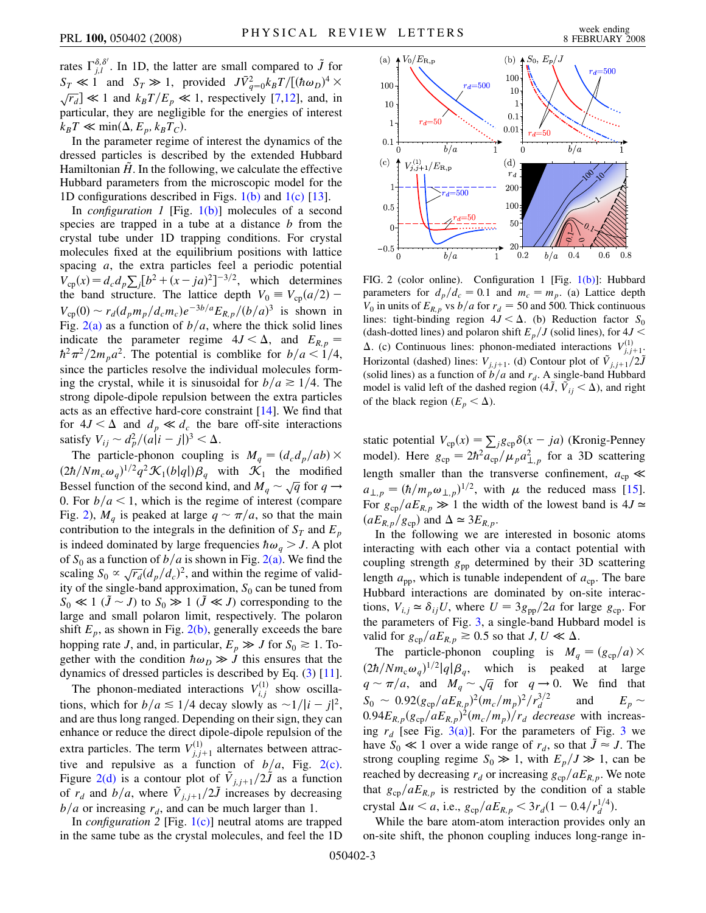rates  $\int_{j,l}^{\delta,\delta'}$ . In 1D, the latter are small compared to  $\tilde{J}$  for  $S_T \ll 1$  and  $S_T \gg 1$ , provided  $J\bar{V}_{q=0}^2 k_B T/[(\hbar \omega_D)^4 \times$  $\sqrt{r_d} \ll 1$  and  $k_B T/E_p \ll 1$ , respectively [\[7,](#page-3-6)[12\]](#page-3-11), and, in particular, they are negligible for the energies of interest  $k_B T \ll \min(\Delta, E_p, k_B T_C).$ 

In the parameter regime of interest the dynamics of the dressed particles is described by the extended Hubbard Hamiltonian  $\hat{H}$ . In the following, we calculate the effective Hubbard parameters from the microscopic model for the 1D configurations described in Figs.  $1(b)$  and  $1(c)$  [[13](#page-3-12)].

In *configuration 1* [Fig. [1\(b\)](#page-0-1)] molecules of a second species are trapped in a tube at a distance *b* from the crystal tube under 1D trapping conditions. For crystal molecules fixed at the equilibrium positions with lattice spacing *a*, the extra particles feel a periodic potential  $V_{cp}(x) = d_c d_p \sum_j [b^2 + (x - ja)^2]^{-3/2}$ , which determines the band structure. The lattice depth  $V_0 = V_{cp}(a/2)$  –  $V_{\text{cp}}(0) \sim r_d (d_p m_p/d_c m_c) e^{-3b/a} E_{R,p}/(b/a)^3$  is shown in Fig.  $2(a)$  as a function of  $b/a$ , where the thick solid lines indicate the parameter regime  $4J < \Delta$ , and  $E_{R,p}$  $\hbar^2 \pi^2 / 2m_p a^2$ . The potential is comblike for  $b/a < 1/4$ , since the particles resolve the individual molecules forming the crystal, while it is sinusoidal for  $b/a \ge 1/4$ . The strong dipole-dipole repulsion between the extra particles acts as an effective hard-core constraint [[14](#page-3-13)]. We find that for  $4J < \Delta$  and  $d_p \ll d_c$  the bare off-site interactions satisfy  $V_{ij} \sim d_p^2/(a|i-j|)^3 < \Delta$ .

The particle-phonon coupling is  $M_q = (d_c d_p/ab) \times$  $(2\hbar/Nm_c\omega_q)^{1/2}q^2\mathcal{K}_1(b|q|)\beta_q$  with  $\mathcal{K}_1$  the modified Bessel function of the second kind, and  $M_q \sim \sqrt{q}$  for  $q \rightarrow$ 0. For  $b/a < 1$ , which is the regime of interest (compare Fig. [2](#page-2-1)),  $M_q$  is peaked at large  $q \sim \pi/a$ , so that the main contribution to the integrals in the definition of  $S_T$  and  $E_p$ is indeed dominated by large frequencies  $\hbar \omega_a > J$ . A plot of  $S_0$  as a function of  $b/a$  is shown in Fig. [2\(a\).](#page-2-0) We find the  $\int_0^b$  or  $S_0$  as a function of *b*/*d* is shown in Fig. 2(a). We find the scaling  $S_0 \propto \sqrt{r_d} (d_p/d_c)^2$ , and within the regime of validity of the single-band approximation,  $S_0$  can be tuned from  $S_0 \ll 1$  ( $\tilde{J} \sim J$ ) to  $S_0 \gg 1$  ( $\tilde{J} \ll J$ ) corresponding to the large and small polaron limit, respectively. The polaron shift  $E_p$ , as shown in Fig. [2\(b\),](#page-2-0) generally exceeds the bare hopping rate *J*, and, in particular,  $E_p \gg J$  for  $S_0 \approx 1$ . Together with the condition  $\hbar \omega_D \gg J$  this ensures that the dynamics of dressed particles is described by Eq. [\(3\)](#page-1-1) [[11\]](#page-3-10).

The phonon-mediated interactions  $V_{i,j}^{(1)}$  show oscillations, which for  $b/a \leq 1/4$  decay slowly as  $\sim 1/|i-j|^2$ , and are thus long ranged. Depending on their sign, they can enhance or reduce the direct dipole-dipole repulsion of the extra particles. The term  $V_{j,j+1}^{(1)}$  alternates between attractive and repulsive as a function of  $b/a$ , Fig. [2\(c\)](#page-2-0). Figure [2\(d\)](#page-2-0) is a contour plot of  $\tilde{V}_{j,j+1}/2\tilde{J}$  as a function of  $r_d$  and  $b/a$ , where  $\tilde{V}_{j,j+1}/2\tilde{J}$  increases by decreasing  $b/a$  or increasing  $r<sub>d</sub>$ , and can be much larger than 1.

In *configuration 2* [Fig. [1\(c\)](#page-0-1)] neutral atoms are trapped in the same tube as the crystal molecules, and feel the 1D

<span id="page-2-1"></span>

<span id="page-2-0"></span>FIG. 2 (color online). Configuration 1 [Fig. [1\(b\)](#page-0-1)]: Hubbard parameters for  $d_p/d_c = 0.1$  and  $m_c = m_p$ . (a) Lattice depth  $V_0$  in units of  $E_{R,p}$  vs  $b/a$  for  $r_d = 50$  and 500. Thick continuous lines: tight-binding region  $4J < \Delta$ . (b) Reduction factor  $S_0$ (dash-dotted lines) and polaron shift  $E_p/J$  (solid lines), for  $4J <$  $\Delta$ . (c) Continuous lines: phonon-mediated interactions  $V^{(1)}_{j,j+1}$ . Horizontal (dashed) lines:  $V_{j,j+1}$ . (d) Contour plot of  $\tilde{V}_{j,j+1}/2\tilde{J}$ (solid lines) as a function of  $b/a$  and  $r<sub>d</sub>$ . A single-band Hubbard model is valid left of the dashed region  $(4\tilde{J}, \tilde{V}_{ij} < \Delta)$ , and right of the black region  $(E_p < \Delta)$ .

static potential  $V_{cp}(x) = \sum_{j} g_{cp} \delta(x - ja)$  (Kronig-Penney model). Here  $g_{cp} = 2\hbar^2 \overline{a_{cp}}/\mu_p a_{\perp,p}^2$  for a 3D scattering length smaller than the transverse confinement,  $a_{cp} \ll$  $a_{\perp,p} = (\hbar/m_p \omega_{\perp,p})^{1/2}$ , with  $\mu$  the reduced mass [[15\]](#page-3-14). For  $g_{cp}/aE_{R,p} \gg 1$  the width of the lowest band is  $4J \approx$  $(aE_{R,p}/g_{cp})$  and  $\Delta \simeq 3E_{R,p}$ .

In the following we are interested in bosonic atoms interacting with each other via a contact potential with coupling strength *g*pp determined by their 3D scattering length  $a_{\text{pp}}$ , which is tunable independent of  $a_{\text{cp}}$ . The bare Hubbard interactions are dominated by on-site interactions,  $V_{i,j} \approx \delta_{ij} U$ , where  $U = 3g_{\text{pp}}/2a$  for large  $g_{\text{cp}}$ . For the parameters of Fig. [3,](#page-3-15) a single-band Hubbard model is valid for  $g_{cp}/aE_{R,p} \ge 0.5$  so that *J*, *U*  $\ll \Delta$ .

The particle-phonon coupling is  $M_q = (g_{cp}/a) \times$  $(2\hbar/Nm_c\omega_q)^{1/2}|q|\beta_q$ , which is peaked at large  $q \sim \pi/a$ , and  $M_q \sim \sqrt{q}$  for  $q \to 0$ . We find that  $S_0 \sim 0.92(g_{cp}/aE_{R,p})^2(m_c/m_p)^2/r_d^{3/2}$ and  $E_p \sim$  $0.94E_{R,p}(g_{cp}/aE_{R,p})^2(m_c/m_p)/r_d$  decrease with increasing  $r_d$  [see Fig. [3\(a\)](#page-3-16)]. For the parameters of Fig. [3](#page-3-15) we have  $S_0 \ll 1$  over a wide range of  $r_d$ , so that  $\tilde{J} \approx J$ . The strong coupling regime  $S_0 \gg 1$ , with  $E_p/J \gg 1$ , can be reached by decreasing  $r_d$  or increasing  $g_{\rm cp}/aE_{R,p}$ . We note that  $g_{cp}/aE_{R,p}$  is restricted by the condition of a stable crystal  $\Delta u < a$ , i.e.,  $g_{cp}/aE_{R,p} < 3r_d(1 - 0.4/r_d^{1/4})$ .

While the bare atom-atom interaction provides only an on-site shift, the phonon coupling induces long-range in-